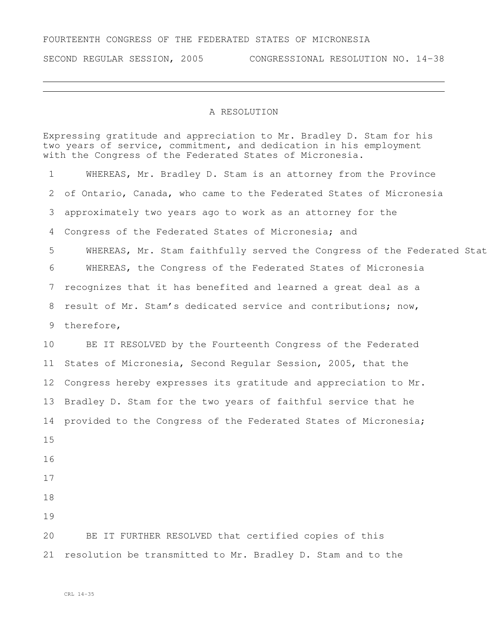## FOURTEENTH CONGRESS OF THE FEDERATED STATES OF MICRONESIA

SECOND REGULAR SESSION, 2005 CONGRESSIONAL RESOLUTION NO. 14-38

## A RESOLUTION

Expressing gratitude and appreciation to Mr. Bradley D. Stam for his two years of service, commitment, and dedication in his employment with the Congress of the Federated States of Micronesia.

 WHEREAS, Mr. Bradley D. Stam is an attorney from the Province of Ontario, Canada, who came to the Federated States of Micronesia approximately two years ago to work as an attorney for the Congress of the Federated States of Micronesia; and 5 WHEREAS, Mr. Stam faithfully served the Congress of the Federated Stat WHEREAS, the Congress of the Federated States of Micronesia recognizes that it has benefited and learned a great deal as a result of Mr. Stam's dedicated service and contributions; now, therefore, BE IT RESOLVED by the Fourteenth Congress of the Federated States of Micronesia, Second Regular Session, 2005, that the Congress hereby expresses its gratitude and appreciation to Mr. Bradley D. Stam for the two years of faithful service that he provided to the Congress of the Federated States of Micronesia; BE IT FURTHER RESOLVED that certified copies of this resolution be transmitted to Mr. Bradley D. Stam and to the